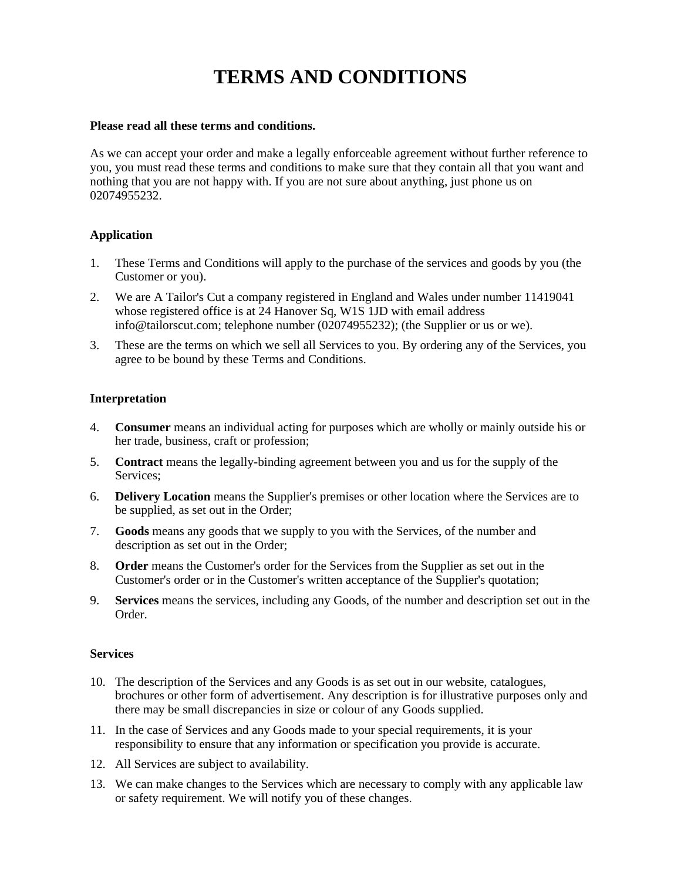# **TERMS AND CONDITIONS**

#### **Please read all these terms and conditions.**

As we can accept your order and make a legally enforceable agreement without further reference to you, you must read these terms and conditions to make sure that they contain all that you want and nothing that you are not happy with. If you are not sure about anything, just phone us on 02074955232.

## **Application**

- 1. These Terms and Conditions will apply to the purchase of the services and goods by you (the Customer or you).
- 2. We are A Tailor's Cut a company registered in England and Wales under number 11419041 whose registered office is at 24 Hanover Sq, W1S 1JD with email address info@tailorscut.com; telephone number (02074955232); (the Supplier or us or we).
- 3. These are the terms on which we sell all Services to you. By ordering any of the Services, you agree to be bound by these Terms and Conditions.

#### **Interpretation**

- 4. **Consumer** means an individual acting for purposes which are wholly or mainly outside his or her trade, business, craft or profession;
- 5. **Contract** means the legally-binding agreement between you and us for the supply of the Services;
- 6. **Delivery Location** means the Supplier's premises or other location where the Services are to be supplied, as set out in the Order;
- 7. **Goods** means any goods that we supply to you with the Services, of the number and description as set out in the Order;
- 8. **Order** means the Customer's order for the Services from the Supplier as set out in the Customer's order or in the Customer's written acceptance of the Supplier's quotation;
- 9. **Services** means the services, including any Goods, of the number and description set out in the Order.

#### **Services**

- 10. The description of the Services and any Goods is as set out in our website, catalogues, brochures or other form of advertisement. Any description is for illustrative purposes only and there may be small discrepancies in size or colour of any Goods supplied.
- 11. In the case of Services and any Goods made to your special requirements, it is your responsibility to ensure that any information or specification you provide is accurate.
- 12. All Services are subject to availability.
- 13. We can make changes to the Services which are necessary to comply with any applicable law or safety requirement. We will notify you of these changes.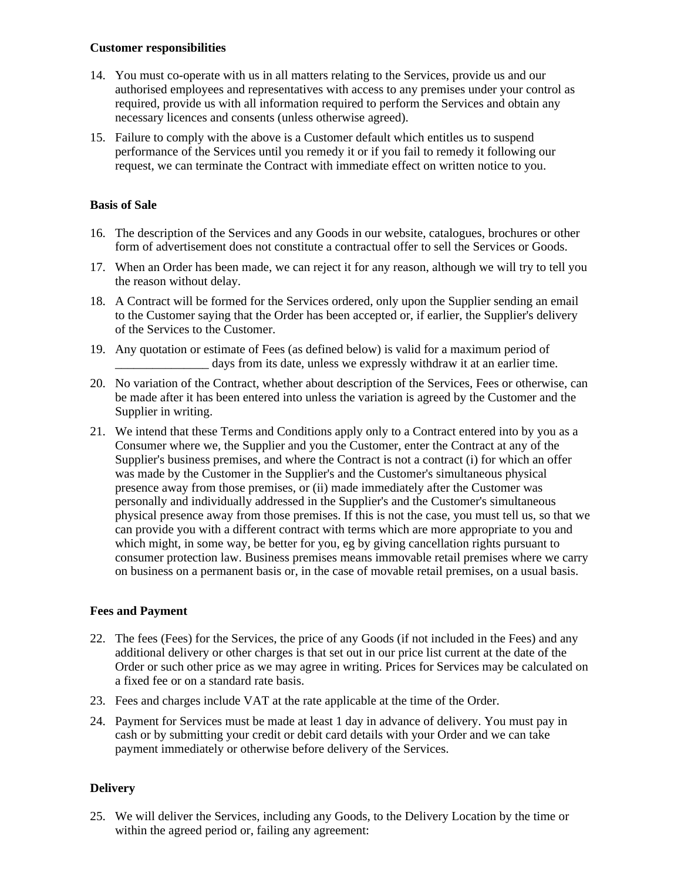### **Customer responsibilities**

- 14. You must co-operate with us in all matters relating to the Services, provide us and our authorised employees and representatives with access to any premises under your control as required, provide us with all information required to perform the Services and obtain any necessary licences and consents (unless otherwise agreed).
- 15. Failure to comply with the above is a Customer default which entitles us to suspend performance of the Services until you remedy it or if you fail to remedy it following our request, we can terminate the Contract with immediate effect on written notice to you.

## **Basis of Sale**

- 16. The description of the Services and any Goods in our website, catalogues, brochures or other form of advertisement does not constitute a contractual offer to sell the Services or Goods.
- 17. When an Order has been made, we can reject it for any reason, although we will try to tell you the reason without delay.
- 18. A Contract will be formed for the Services ordered, only upon the Supplier sending an email to the Customer saying that the Order has been accepted or, if earlier, the Supplier's delivery of the Services to the Customer.
- 19. Any quotation or estimate of Fees (as defined below) is valid for a maximum period of days from its date, unless we expressly withdraw it at an earlier time.
- 20. No variation of the Contract, whether about description of the Services, Fees or otherwise, can be made after it has been entered into unless the variation is agreed by the Customer and the Supplier in writing.
- 21. We intend that these Terms and Conditions apply only to a Contract entered into by you as a Consumer where we, the Supplier and you the Customer, enter the Contract at any of the Supplier's business premises, and where the Contract is not a contract (i) for which an offer was made by the Customer in the Supplier's and the Customer's simultaneous physical presence away from those premises, or (ii) made immediately after the Customer was personally and individually addressed in the Supplier's and the Customer's simultaneous physical presence away from those premises. If this is not the case, you must tell us, so that we can provide you with a different contract with terms which are more appropriate to you and which might, in some way, be better for you, eg by giving cancellation rights pursuant to consumer protection law. Business premises means immovable retail premises where we carry on business on a permanent basis or, in the case of movable retail premises, on a usual basis.

#### **Fees and Payment**

- 22. The fees (Fees) for the Services, the price of any Goods (if not included in the Fees) and any additional delivery or other charges is that set out in our price list current at the date of the Order or such other price as we may agree in writing. Prices for Services may be calculated on a fixed fee or on a standard rate basis.
- 23. Fees and charges include VAT at the rate applicable at the time of the Order.
- 24. Payment for Services must be made at least 1 day in advance of delivery. You must pay in cash or by submitting your credit or debit card details with your Order and we can take payment immediately or otherwise before delivery of the Services.

## **Delivery**

25. We will deliver the Services, including any Goods, to the Delivery Location by the time or within the agreed period or, failing any agreement: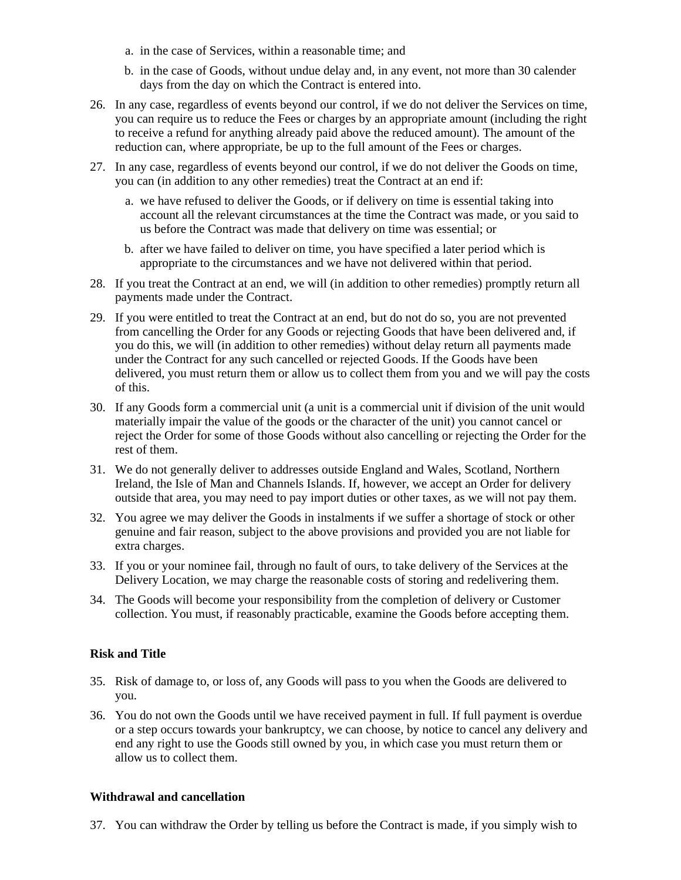- a. in the case of Services, within a reasonable time; and
- b. in the case of Goods, without undue delay and, in any event, not more than 30 calender days from the day on which the Contract is entered into.
- 26. In any case, regardless of events beyond our control, if we do not deliver the Services on time, you can require us to reduce the Fees or charges by an appropriate amount (including the right to receive a refund for anything already paid above the reduced amount). The amount of the reduction can, where appropriate, be up to the full amount of the Fees or charges.
- 27. In any case, regardless of events beyond our control, if we do not deliver the Goods on time, you can (in addition to any other remedies) treat the Contract at an end if:
	- a. we have refused to deliver the Goods, or if delivery on time is essential taking into account all the relevant circumstances at the time the Contract was made, or you said to us before the Contract was made that delivery on time was essential; or
	- b. after we have failed to deliver on time, you have specified a later period which is appropriate to the circumstances and we have not delivered within that period.
- 28. If you treat the Contract at an end, we will (in addition to other remedies) promptly return all payments made under the Contract.
- 29. If you were entitled to treat the Contract at an end, but do not do so, you are not prevented from cancelling the Order for any Goods or rejecting Goods that have been delivered and, if you do this, we will (in addition to other remedies) without delay return all payments made under the Contract for any such cancelled or rejected Goods. If the Goods have been delivered, you must return them or allow us to collect them from you and we will pay the costs of this.
- 30. If any Goods form a commercial unit (a unit is a commercial unit if division of the unit would materially impair the value of the goods or the character of the unit) you cannot cancel or reject the Order for some of those Goods without also cancelling or rejecting the Order for the rest of them.
- 31. We do not generally deliver to addresses outside England and Wales, Scotland, Northern Ireland, the Isle of Man and Channels Islands. If, however, we accept an Order for delivery outside that area, you may need to pay import duties or other taxes, as we will not pay them.
- 32. You agree we may deliver the Goods in instalments if we suffer a shortage of stock or other genuine and fair reason, subject to the above provisions and provided you are not liable for extra charges.
- 33. If you or your nominee fail, through no fault of ours, to take delivery of the Services at the Delivery Location, we may charge the reasonable costs of storing and redelivering them.
- 34. The Goods will become your responsibility from the completion of delivery or Customer collection. You must, if reasonably practicable, examine the Goods before accepting them.

#### **Risk and Title**

- 35. Risk of damage to, or loss of, any Goods will pass to you when the Goods are delivered to you.
- 36. You do not own the Goods until we have received payment in full. If full payment is overdue or a step occurs towards your bankruptcy, we can choose, by notice to cancel any delivery and end any right to use the Goods still owned by you, in which case you must return them or allow us to collect them.

#### **Withdrawal and cancellation**

37. You can withdraw the Order by telling us before the Contract is made, if you simply wish to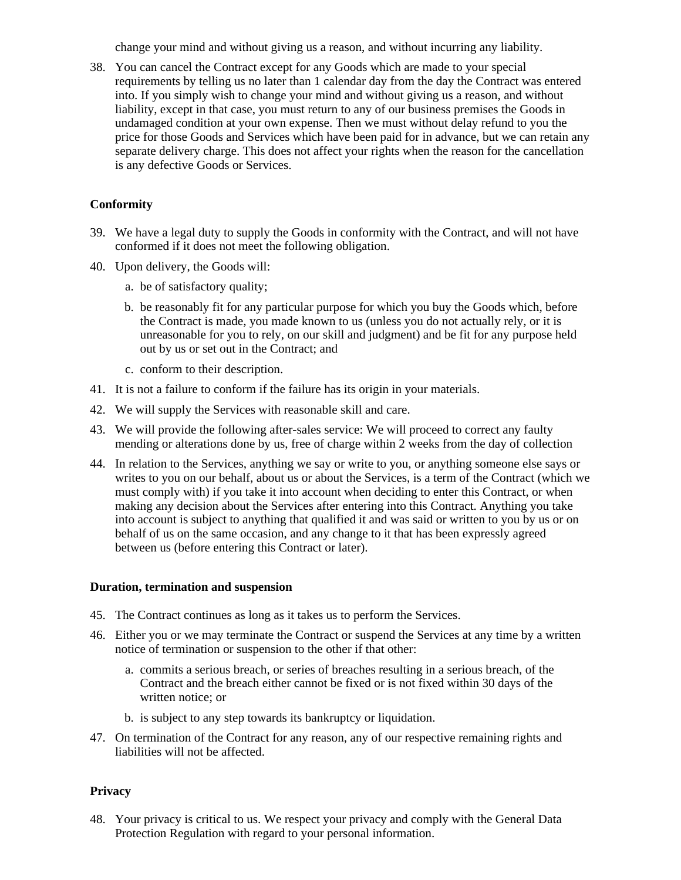change your mind and without giving us a reason, and without incurring any liability.

38. You can cancel the Contract except for any Goods which are made to your special requirements by telling us no later than 1 calendar day from the day the Contract was entered into. If you simply wish to change your mind and without giving us a reason, and without liability, except in that case, you must return to any of our business premises the Goods in undamaged condition at your own expense. Then we must without delay refund to you the price for those Goods and Services which have been paid for in advance, but we can retain any separate delivery charge. This does not affect your rights when the reason for the cancellation is any defective Goods or Services.

## **Conformity**

- 39. We have a legal duty to supply the Goods in conformity with the Contract, and will not have conformed if it does not meet the following obligation.
- 40. Upon delivery, the Goods will:
	- a. be of satisfactory quality;
	- b. be reasonably fit for any particular purpose for which you buy the Goods which, before the Contract is made, you made known to us (unless you do not actually rely, or it is unreasonable for you to rely, on our skill and judgment) and be fit for any purpose held out by us or set out in the Contract; and
	- c. conform to their description.
- 41. It is not a failure to conform if the failure has its origin in your materials.
- 42. We will supply the Services with reasonable skill and care.
- 43. We will provide the following after-sales service: We will proceed to correct any faulty mending or alterations done by us, free of charge within 2 weeks from the day of collection
- 44. In relation to the Services, anything we say or write to you, or anything someone else says or writes to you on our behalf, about us or about the Services, is a term of the Contract (which we must comply with) if you take it into account when deciding to enter this Contract, or when making any decision about the Services after entering into this Contract. Anything you take into account is subject to anything that qualified it and was said or written to you by us or on behalf of us on the same occasion, and any change to it that has been expressly agreed between us (before entering this Contract or later).

#### **Duration, termination and suspension**

- 45. The Contract continues as long as it takes us to perform the Services.
- 46. Either you or we may terminate the Contract or suspend the Services at any time by a written notice of termination or suspension to the other if that other:
	- a. commits a serious breach, or series of breaches resulting in a serious breach, of the Contract and the breach either cannot be fixed or is not fixed within 30 days of the written notice; or
	- b. is subject to any step towards its bankruptcy or liquidation.
- 47. On termination of the Contract for any reason, any of our respective remaining rights and liabilities will not be affected.

#### **Privacy**

48. Your privacy is critical to us. We respect your privacy and comply with the General Data Protection Regulation with regard to your personal information.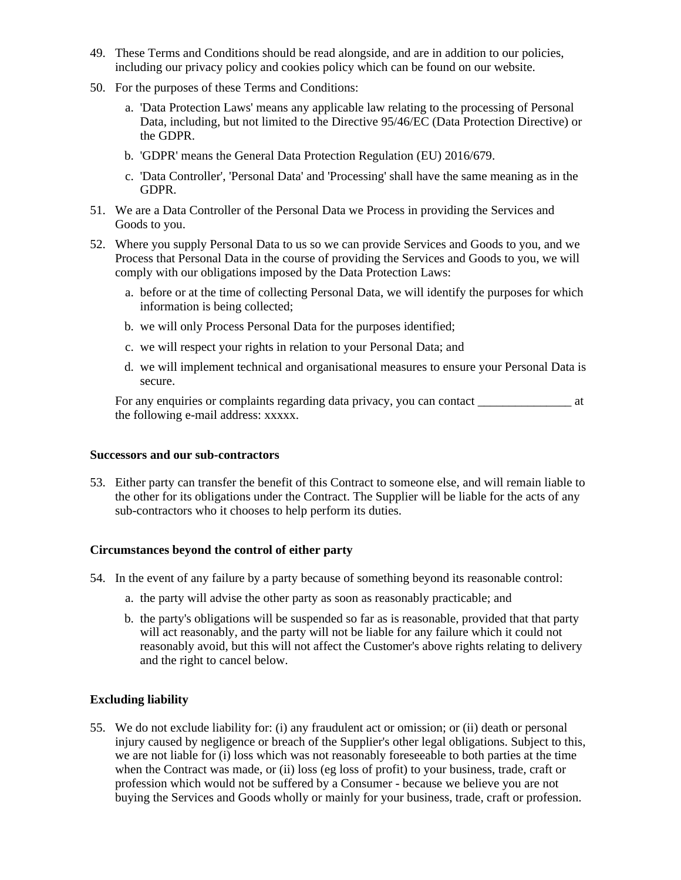- 49. These Terms and Conditions should be read alongside, and are in addition to our policies, including our privacy policy and cookies policy which can be found on our website.
- 50. For the purposes of these Terms and Conditions:
	- a. 'Data Protection Laws' means any applicable law relating to the processing of Personal Data, including, but not limited to the Directive 95/46/EC (Data Protection Directive) or the GDPR.
	- b. 'GDPR' means the General Data Protection Regulation (EU) 2016/679.
	- c. 'Data Controller', 'Personal Data' and 'Processing' shall have the same meaning as in the GDPR.
- 51. We are a Data Controller of the Personal Data we Process in providing the Services and Goods to you.
- 52. Where you supply Personal Data to us so we can provide Services and Goods to you, and we Process that Personal Data in the course of providing the Services and Goods to you, we will comply with our obligations imposed by the Data Protection Laws:
	- a. before or at the time of collecting Personal Data, we will identify the purposes for which information is being collected;
	- b. we will only Process Personal Data for the purposes identified;
	- c. we will respect your rights in relation to your Personal Data; and
	- d. we will implement technical and organisational measures to ensure your Personal Data is secure.

For any enquiries or complaints regarding data privacy, you can contact \_\_\_\_\_\_\_\_\_\_\_\_\_\_\_ at the following e-mail address: xxxxx.

#### **Successors and our sub-contractors**

53. Either party can transfer the benefit of this Contract to someone else, and will remain liable to the other for its obligations under the Contract. The Supplier will be liable for the acts of any sub-contractors who it chooses to help perform its duties.

#### **Circumstances beyond the control of either party**

- 54. In the event of any failure by a party because of something beyond its reasonable control:
	- a. the party will advise the other party as soon as reasonably practicable; and
	- b. the party's obligations will be suspended so far as is reasonable, provided that that party will act reasonably, and the party will not be liable for any failure which it could not reasonably avoid, but this will not affect the Customer's above rights relating to delivery and the right to cancel below.

#### **Excluding liability**

55. We do not exclude liability for: (i) any fraudulent act or omission; or (ii) death or personal injury caused by negligence or breach of the Supplier's other legal obligations. Subject to this, we are not liable for (i) loss which was not reasonably foreseeable to both parties at the time when the Contract was made, or (ii) loss (eg loss of profit) to your business, trade, craft or profession which would not be suffered by a Consumer - because we believe you are not buying the Services and Goods wholly or mainly for your business, trade, craft or profession.